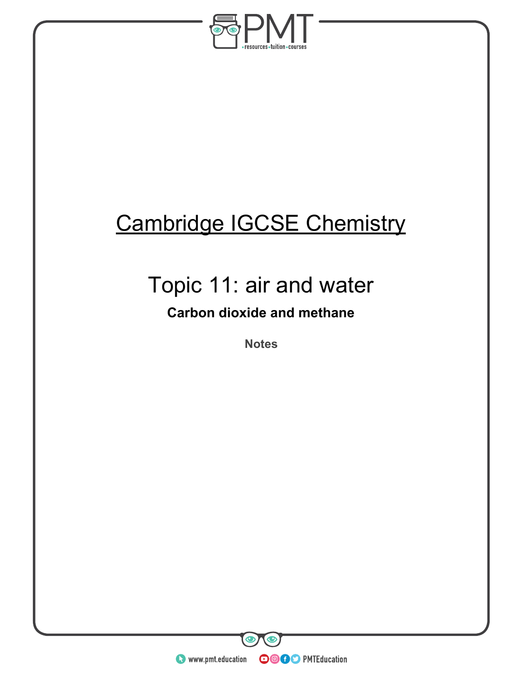

# Cambridge IGCSE Chemistry

## Topic 11: air and water

### **Carbon dioxide and methane**

**Notes** 

**O** www.pmt.education **COOC** PMTEducation

 $\mathbf \odot$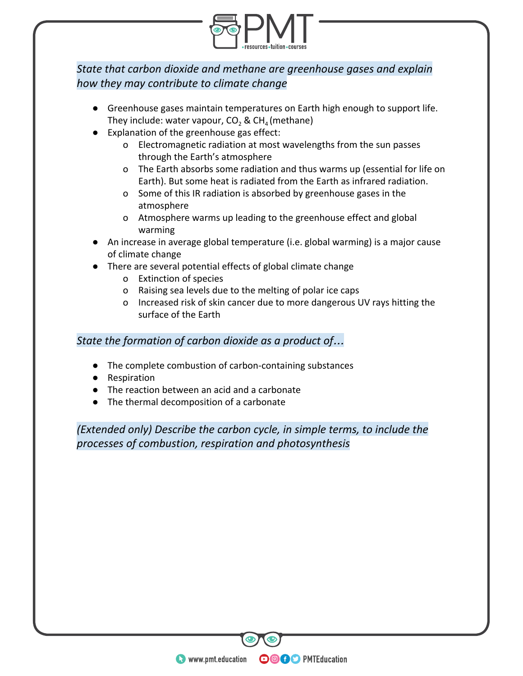

### *State that carbon dioxide and methane are greenhouse gases and explain how they may contribute to climate change*

- Greenhouse gases maintain temperatures on Earth high enough to support life. They include: water vapour, CO<sub>2</sub> & CH<sub>4</sub> (methane)
- Explanation of the greenhouse gas effect:
	- o Electromagnetic radiation at most wavelengths from the sun passes through the Earth's atmosphere
	- o The Earth absorbs some radiation and thus warms up (essential for life on Earth). But some heat is radiated from the Earth as infrared radiation.
	- o Some of this IR radiation is absorbed by greenhouse gases in the atmosphere
	- o Atmosphere warms up leading to the greenhouse effect and global warming
- An increase in average global temperature (i.e. global warming) is a major cause of climate change
- There are several potential effects of global climate change
	- o Extinction of species
	- o Raising sea levels due to the melting of polar ice caps
	- o Increased risk of skin cancer due to more dangerous UV rays hitting the surface of the Earth

#### *State the formation of carbon dioxide as a product of*…

- The complete combustion of carbon-containing substances
- Respiration
- The reaction between an acid and a carbonate
- The thermal decomposition of a carbonate

*(Extended only) Describe the carbon cycle, in simple terms, to include the processes of combustion, respiration and photosynthesis* 

**WWW.pmt.education** 

**OOOO** PMTEducation